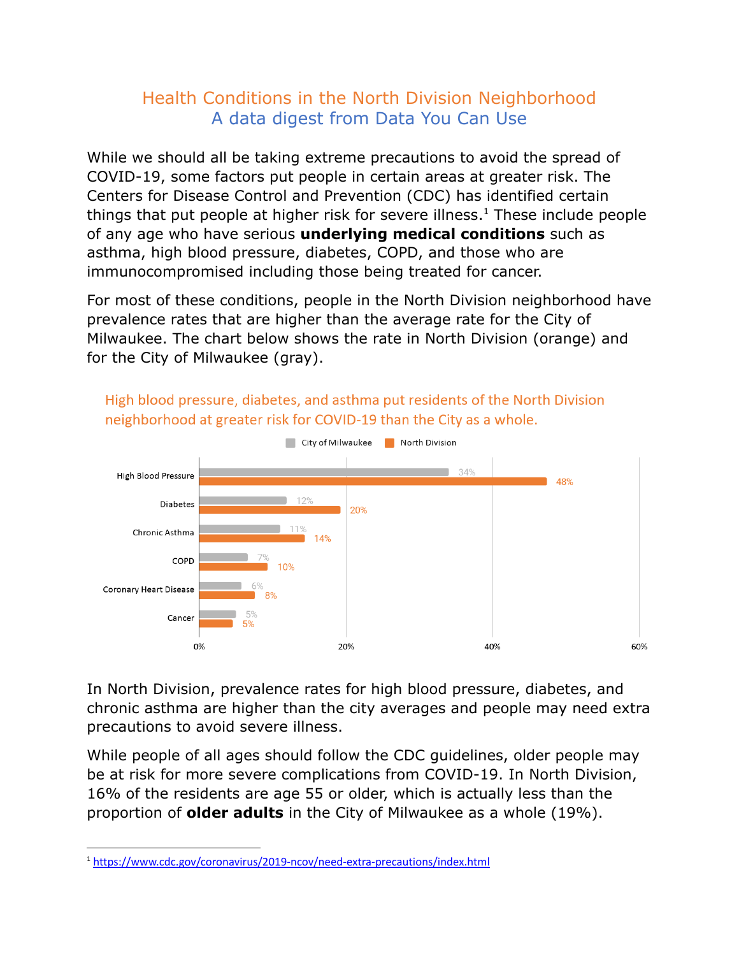## Health Conditions in the North Division Neighborhood A data digest from Data You Can Use

While we should all be taking extreme precautions to avoid the spread of COVID-19, some factors put people in certain areas at greater risk. The Centers for Disease Control and Prevention (CDC) has identified certain things that put people at higher risk for severe illness.<sup>1</sup> These include people of any age who have serious **underlying medical conditions** such as asthma, high blood pressure, diabetes, COPD, and those who are immunocompromised including those being treated for cancer.

For most of these conditions, people in the North Division neighborhood have prevalence rates that are higher than the average rate for the City of Milwaukee. The chart below shows the rate in North Division (orange) and for the City of Milwaukee (gray).



High blood pressure, diabetes, and asthma put residents of the North Division neighborhood at greater risk for COVID-19 than the City as a whole.

In North Division, prevalence rates for high blood pressure, diabetes, and chronic asthma are higher than the city averages and people may need extra precautions to avoid severe illness.

While people of all ages should follow the CDC guidelines, older people may be at risk for more severe complications from COVID-19. In North Division, 16% of the residents are age 55 or older, which is actually less than the proportion of **older adults** in the City of Milwaukee as a whole (19%).

<sup>1</sup> <https://www.cdc.gov/coronavirus/2019-ncov/need-extra-precautions/index.html>